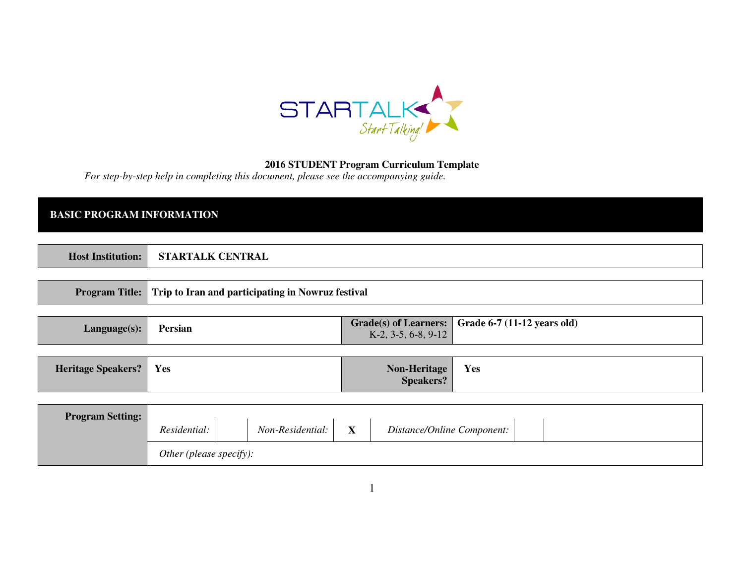

## **2016 STUDENT Program Curriculum Template**

*For step-by-step help in completing this document, please see the accompanying guide.* 

# **BASIC PROGRAM INFORMATION**

**Host Institution:**

**STARTALK CENTRAL**

|  | <b>Program Title:</b> Trip to Iran and participating in Nowruz festival |
|--|-------------------------------------------------------------------------|
|--|-------------------------------------------------------------------------|

|                     | Persian |                        | Grade(s) of Learners: $\vert$ Grade 6-7 (11-12 years old) |
|---------------------|---------|------------------------|-----------------------------------------------------------|
| $L$ anguage $(s)$ : |         | $K-2$ , 3-5, 6-8, 9-12 |                                                           |

| Heritage Speakers? | Yes | Non-Heritage<br><b>Speakers?</b> | Yes |
|--------------------|-----|----------------------------------|-----|
|                    |     |                                  |     |

| <b>Program Setting:</b> |                         |                  |                         |                            |  |
|-------------------------|-------------------------|------------------|-------------------------|----------------------------|--|
|                         | Residential:            | Non-Residential: | $\overline{\mathbf{x}}$ | Distance/Online Component: |  |
|                         | Other (please specify): |                  |                         |                            |  |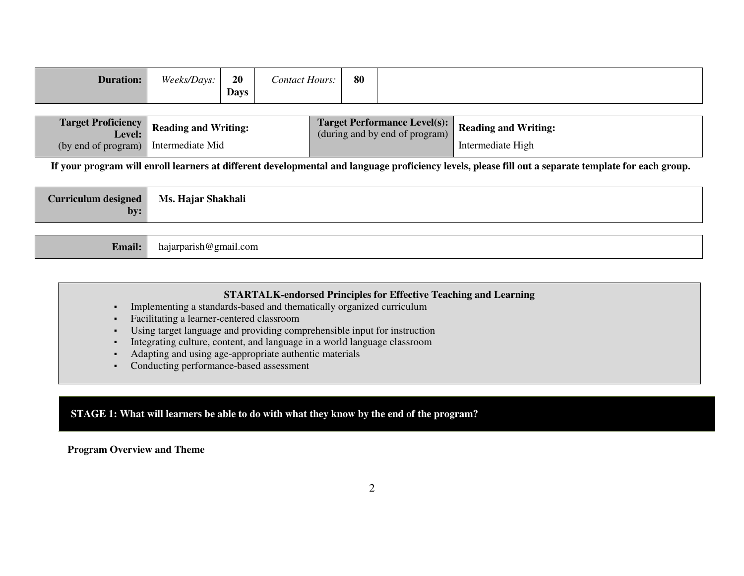| 80 |  | Hours:<br>ontaci | 20<br><b>Days</b> | $\sqrt{2}$<br>$W$ ooksi<br>112000<br>້ີ | hıration |
|----|--|------------------|-------------------|-----------------------------------------|----------|
|----|--|------------------|-------------------|-----------------------------------------|----------|

| Level:                               | <b>Target Proficiency</b> Reading and Writing: | (during and by end of program) | Target Performance Level(s): Reading and Writing: |
|--------------------------------------|------------------------------------------------|--------------------------------|---------------------------------------------------|
| (by end of program) Intermediate Mid |                                                |                                | Intermediate High                                 |

**If your program will enroll learners at different developmental and language proficiency levels, please fill out a separate template for each group.**

| by:           | Curriculum designed   Ms. Hajar Shakhali |
|---------------|------------------------------------------|
|               |                                          |
| <b>Email:</b> | hajarparish@gmail.com                    |

#### **STARTALK-endorsed Principles for Effective Teaching and Learning**

- ▪Implementing a standards-based and thematically organized curriculum
- ▪Facilitating a learner-centered classroom
- ▪Using target language and providing comprehensible input for instruction
- ▪Integrating culture, content, and language in a world language classroom
- ▪Adapting and using age-appropriate authentic materials
- ▪Conducting performance-based assessment

## **STAGE 1: What will learners be able to do with what they know by the end of the program?**

#### **Program Overview and Theme**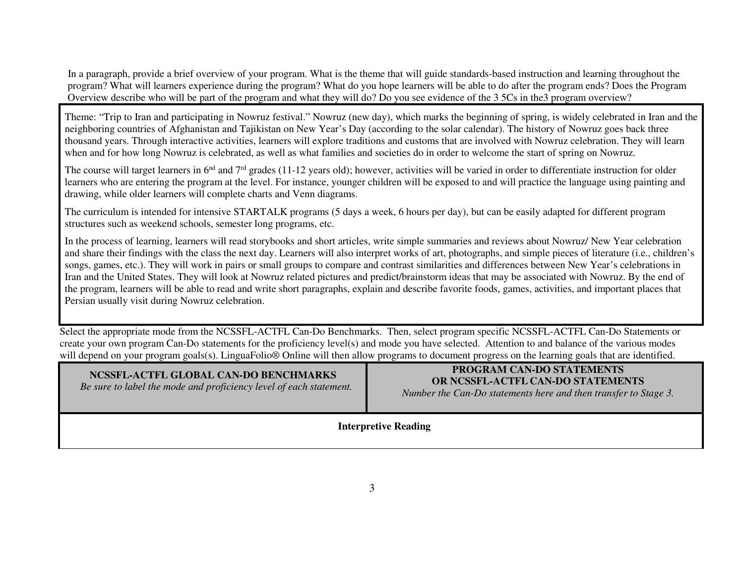In a paragraph, provide a brief overview of your program. What is the theme that will guide standards-based instruction and learning throughout the program? What will learners experience during the program? What do you hope learners will be able to do after the program ends? Does the Program Overview describe who will be part of the program and what they will do? Do you see evidence of the 3 5Cs in the3 program overview?

Theme: "Trip to Iran and participating in Nowruz festival." Nowruz (new day), which marks the beginning of spring, is widely celebrated in Iran and the neighboring countries of Afghanistan and Tajikistan on New Year's Day (according to the solar calendar). The history of Nowruz goes back three thousand years. Through interactive activities, learners will explore traditions and customs that are involved with Nowruz celebration. They will learn when and for how long Nowruz is celebrated, as well as what families and societies do in order to welcome the start of spring on Nowruz.

The course will target learners in  $6<sup>nd</sup>$  and  $7<sup>rd</sup>$  grades (11-12 years old); however, activities will be varied in order to differentiate instruction for older learners who are entering the program at the level. For instance, younger children will be exposed to and will practice the language using painting and drawing, while older learners will complete charts and Venn diagrams.

The curriculum is intended for intensive STARTALK programs (5 days a week, 6 hours per day), but can be easily adapted for different program structures such as weekend schools, semester long programs, etc.

In the process of learning, learners will read storybooks and short articles, write simple summaries and reviews about Nowruz/ New Year celebration and share their findings with the class the next day. Learners will also interpret works of art, photographs, and simple pieces of literature (i.e., children's songs, games, etc.). They will work in pairs or small groups to compare and contrast similarities and differences between New Year's celebrations in Iran and the United States. They will look at Nowruz related pictures and predict/brainstorm ideas that may be associated with Nowruz. By the end of the program, learners will be able to read and write short paragraphs, explain and describe favorite foods, games, activities, and important places that Persian usually visit during Nowruz celebration.

Select the appropriate mode from the NCSSFL-ACTFL Can-Do Benchmarks. Then, select program specific NCSSFL-ACTFL Can-Do Statements or create your own program Can-Do statements for the proficiency level(s) and mode you have selected. Attention to and balance of the various modes will depend on your program goals(s). LinguaFolio<sup>®</sup> Online will then allow programs to document progress on the learning goals that are identified.

# **NCSSFL-ACTFL GLOBAL CAN-DO BENCHMARKS**

*Be sure to label the mode and proficiency level of each statement.*

# **PROGRAM CAN-DO STATEMENTS OR NCSSFL-ACTFL CAN-DO STATEMENTS**

*Number the Can-Do statements here and then transfer to Stage 3.* 

### **Interpretive Reading**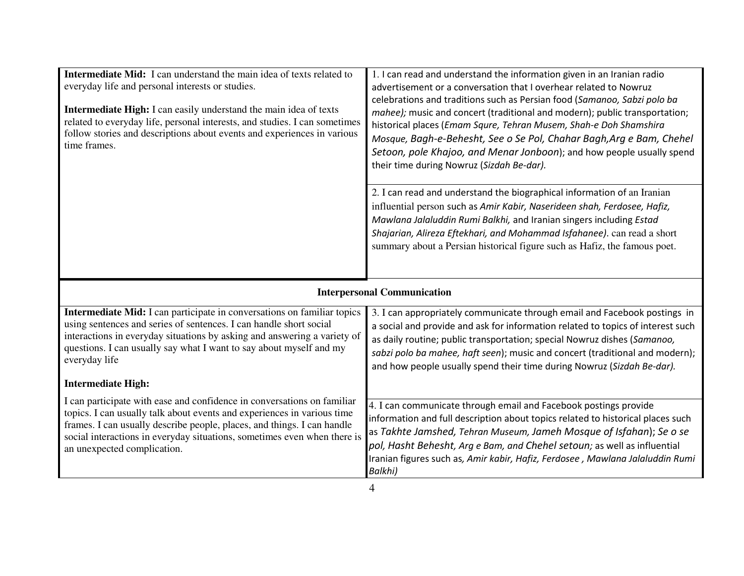| <b>Intermediate Mid:</b> I can understand the main idea of texts related to<br>everyday life and personal interests or studies.<br><b>Intermediate High:</b> I can easily understand the main idea of texts<br>related to everyday life, personal interests, and studies. I can sometimes<br>follow stories and descriptions about events and experiences in various<br>time frames. | 1. I can read and understand the information given in an Iranian radio<br>advertisement or a conversation that I overhear related to Nowruz<br>celebrations and traditions such as Persian food (Samanoo, Sabzi polo ba<br>mahee); music and concert (traditional and modern); public transportation;<br>historical places (Emam Squre, Tehran Musem, Shah-e Doh Shamshira<br>Mosque, Bagh-e-Behesht, See o Se Pol, Chahar Bagh, Arg e Bam, Chehel<br>Setoon, pole Khajoo, and Menar Jonboon); and how people usually spend<br>their time during Nowruz (Sizdah Be-dar). |
|--------------------------------------------------------------------------------------------------------------------------------------------------------------------------------------------------------------------------------------------------------------------------------------------------------------------------------------------------------------------------------------|--------------------------------------------------------------------------------------------------------------------------------------------------------------------------------------------------------------------------------------------------------------------------------------------------------------------------------------------------------------------------------------------------------------------------------------------------------------------------------------------------------------------------------------------------------------------------|
|                                                                                                                                                                                                                                                                                                                                                                                      | 2. I can read and understand the biographical information of an Iranian<br>influential person such as Amir Kabir, Naserideen shah, Ferdosee, Hafiz,<br>Mawlana Jalaluddin Rumi Balkhi, and Iranian singers including Estad<br>Shajarian, Alireza Eftekhari, and Mohammad Isfahanee). can read a short<br>summary about a Persian historical figure such as Hafiz, the famous poet.                                                                                                                                                                                       |
|                                                                                                                                                                                                                                                                                                                                                                                      | <b>Interpersonal Communication</b>                                                                                                                                                                                                                                                                                                                                                                                                                                                                                                                                       |
| Intermediate Mid: I can participate in conversations on familiar topics<br>using sentences and series of sentences. I can handle short social<br>interactions in everyday situations by asking and answering a variety of<br>questions. I can usually say what I want to say about myself and my<br>everyday life                                                                    | 3. I can appropriately communicate through email and Facebook postings in<br>a social and provide and ask for information related to topics of interest such<br>as daily routine; public transportation; special Nowruz dishes (Samanoo,<br>sabzi polo ba mahee, haft seen); music and concert (traditional and modern);<br>and how people usually spend their time during Nowruz (Sizdah Be-dar).                                                                                                                                                                       |
| <b>Intermediate High:</b>                                                                                                                                                                                                                                                                                                                                                            |                                                                                                                                                                                                                                                                                                                                                                                                                                                                                                                                                                          |
| I can participate with ease and confidence in conversations on familiar<br>topics. I can usually talk about events and experiences in various time<br>frames. I can usually describe people, places, and things. I can handle<br>social interactions in everyday situations, sometimes even when there is<br>an unexpected complication.                                             | 4. I can communicate through email and Facebook postings provide<br>information and full description about topics related to historical places such<br>as Takhte Jamshed, Tehran Museum, Jameh Mosque of Isfahan); Se o se<br>pol, Hasht Behesht, Arg e Bam, and Chehel setoun; as well as influential<br>Iranian figures such as, Amir kabir, Hafiz, Ferdosee, Mawlana Jalaluddin Rumi<br>Balkhi)                                                                                                                                                                       |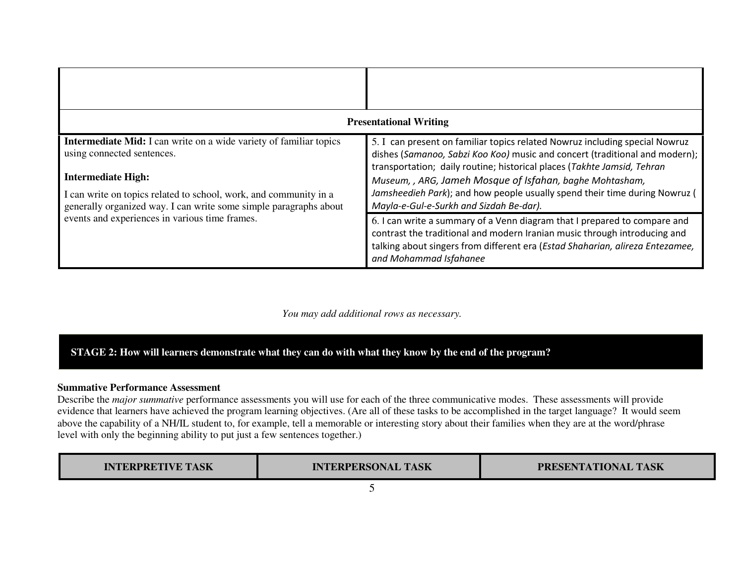|                                                                                                                                                                                                                                                                                | <b>Presentational Writing</b>                                                                                                                                                                                                                                                                                                                                                                                              |
|--------------------------------------------------------------------------------------------------------------------------------------------------------------------------------------------------------------------------------------------------------------------------------|----------------------------------------------------------------------------------------------------------------------------------------------------------------------------------------------------------------------------------------------------------------------------------------------------------------------------------------------------------------------------------------------------------------------------|
| <b>Intermediate Mid:</b> I can write on a wide variety of familiar topics<br>using connected sentences.<br><b>Intermediate High:</b><br>I can write on topics related to school, work, and community in a<br>generally organized way. I can write some simple paragraphs about | 5. I can present on familiar topics related Nowruz including special Nowruz<br>dishes (Samanoo, Sabzi Koo Koo) music and concert (traditional and modern);<br>transportation; daily routine; historical places (Takhte Jamsid, Tehran<br>Museum, , ARG, Jameh Mosque of Isfahan, baghe Mohtasham,<br>Jamsheedieh Park); and how people usually spend their time during Nowruz (<br>Mayla-e-Gul-e-Surkh and Sizdah Be-dar). |
| events and experiences in various time frames.                                                                                                                                                                                                                                 | 6. I can write a summary of a Venn diagram that I prepared to compare and<br>contrast the traditional and modern Iranian music through introducing and<br>talking about singers from different era (Estad Shaharian, alireza Entezamee,<br>and Mohammad Isfahanee                                                                                                                                                          |

## *You may add additional rows as necessary.*

# **STAGE 2: How will learners demonstrate what they can do with what they know by the end of the program?**

### **Summative Performance Assessment**

 Describe the *major summative* performance assessments you will use for each of the three communicative modes. These assessments will provide evidence that learners have achieved the program learning objectives. (Are all of these tasks to be accomplished in the target language? It would seem above the capability of a NH/IL student to, for example, tell a memorable or interesting story about their families when they are at the word/phrase level with only the beginning ability to put just a few sentences together.)

| <b>INTERPRETIVE TASK</b> | <b>INTERPERSONAL TASK</b> | PRESENTATIONAL TASK |
|--------------------------|---------------------------|---------------------|
|--------------------------|---------------------------|---------------------|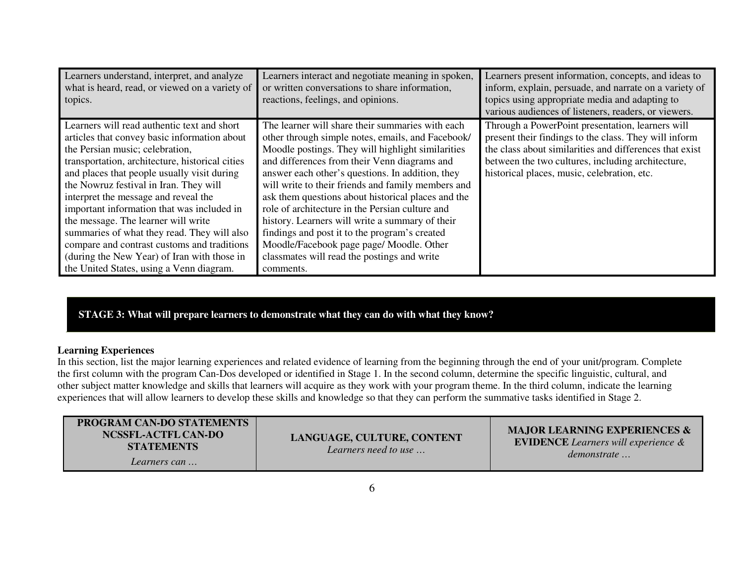| Learners understand, interpret, and analyze<br>what is heard, read, or viewed on a variety of<br>topics.                                                                                                                                                                                                                                                                                                                                                                                                                                                                                         | Learners interact and negotiate meaning in spoken,<br>or written conversations to share information,<br>reactions, feelings, and opinions.                                                                                                                                                                                                                                                                                                                                                                                                                                                                                                | Learners present information, concepts, and ideas to<br>inform, explain, persuade, and narrate on a variety of<br>topics using appropriate media and adapting to<br>various audiences of listeners, readers, or viewers.                                                 |
|--------------------------------------------------------------------------------------------------------------------------------------------------------------------------------------------------------------------------------------------------------------------------------------------------------------------------------------------------------------------------------------------------------------------------------------------------------------------------------------------------------------------------------------------------------------------------------------------------|-------------------------------------------------------------------------------------------------------------------------------------------------------------------------------------------------------------------------------------------------------------------------------------------------------------------------------------------------------------------------------------------------------------------------------------------------------------------------------------------------------------------------------------------------------------------------------------------------------------------------------------------|--------------------------------------------------------------------------------------------------------------------------------------------------------------------------------------------------------------------------------------------------------------------------|
| Learners will read authentic text and short<br>articles that convey basic information about<br>the Persian music; celebration,<br>transportation, architecture, historical cities<br>and places that people usually visit during<br>the Nowruz festival in Iran. They will<br>interpret the message and reveal the<br>important information that was included in<br>the message. The learner will write<br>summaries of what they read. They will also<br>compare and contrast customs and traditions<br>(during the New Year) of Iran with those in<br>the United States, using a Venn diagram. | The learner will share their summaries with each<br>other through simple notes, emails, and Facebook/<br>Moodle postings. They will highlight similarities<br>and differences from their Venn diagrams and<br>answer each other's questions. In addition, they<br>will write to their friends and family members and<br>ask them questions about historical places and the<br>role of architecture in the Persian culture and<br>history. Learners will write a summary of their<br>findings and post it to the program's created<br>Moodle/Facebook page page/ Moodle. Other<br>classmates will read the postings and write<br>comments. | Through a PowerPoint presentation, learners will<br>present their findings to the class. They will inform<br>the class about similarities and differences that exist<br>between the two cultures, including architecture,<br>historical places, music, celebration, etc. |

**STAGE 3: What will prepare learners to demonstrate what they can do with what they know?**

## **Learning Experiences**

 In this section, list the major learning experiences and related evidence of learning from the beginning through the end of your unit/program. Complete the first column with the program Can-Dos developed or identified in Stage 1. In the second column, determine the specific linguistic, cultural, and other subject matter knowledge and skills that learners will acquire as they work with your program theme. In the third column, indicate the learning experiences that will allow learners to develop these skills and knowledge so that they can perform the summative tasks identified in Stage 2.

| <b>PROGRAM CAN-DO STATEMENTS</b><br>NCSSFL-ACTFL CAN-DO<br>LANGUAGE, CULTURE, CONTENT<br><b>STATEMENTS</b><br>Learners need to use<br>Learners can | <b>MAJOR LEARNING EXPERIENCES &amp;</b><br><b>EVIDENCE</b> Learners will experience &<br>demonstrate |
|----------------------------------------------------------------------------------------------------------------------------------------------------|------------------------------------------------------------------------------------------------------|
|----------------------------------------------------------------------------------------------------------------------------------------------------|------------------------------------------------------------------------------------------------------|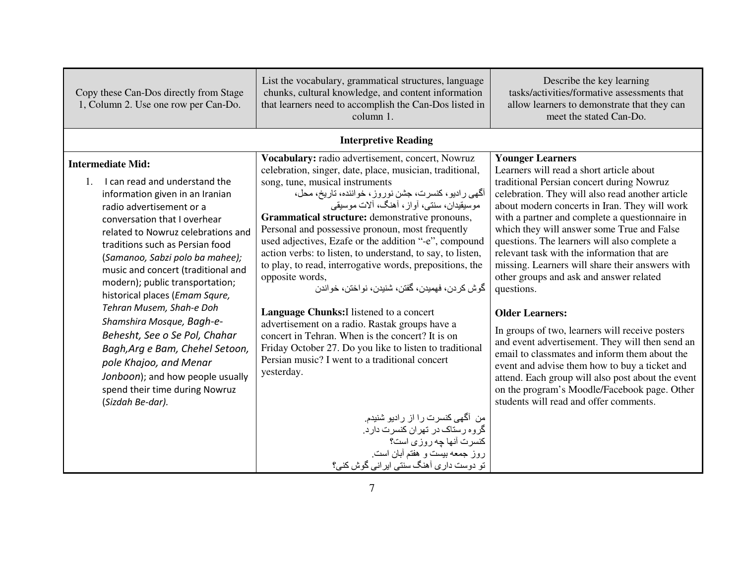| Copy these Can-Dos directly from Stage<br>1, Column 2. Use one row per Can-Do.                                                                                                                                                                                                                                                                                                                                                                                                                                                                                                                                                                  | List the vocabulary, grammatical structures, language<br>chunks, cultural knowledge, and content information<br>that learners need to accomplish the Can-Dos listed in<br>column 1.                                                                                                                                                                                                                                                                                                                                                                                                                                                                                                                                                                                                                                                                                                              | Describe the key learning<br>tasks/activities/formative assessments that<br>allow learners to demonstrate that they can<br>meet the stated Can-Do.                                                                                                                                                                                                                                                                                                                                                                                                                                                                                                                                                                                                                                                                                                                                                                |
|-------------------------------------------------------------------------------------------------------------------------------------------------------------------------------------------------------------------------------------------------------------------------------------------------------------------------------------------------------------------------------------------------------------------------------------------------------------------------------------------------------------------------------------------------------------------------------------------------------------------------------------------------|--------------------------------------------------------------------------------------------------------------------------------------------------------------------------------------------------------------------------------------------------------------------------------------------------------------------------------------------------------------------------------------------------------------------------------------------------------------------------------------------------------------------------------------------------------------------------------------------------------------------------------------------------------------------------------------------------------------------------------------------------------------------------------------------------------------------------------------------------------------------------------------------------|-------------------------------------------------------------------------------------------------------------------------------------------------------------------------------------------------------------------------------------------------------------------------------------------------------------------------------------------------------------------------------------------------------------------------------------------------------------------------------------------------------------------------------------------------------------------------------------------------------------------------------------------------------------------------------------------------------------------------------------------------------------------------------------------------------------------------------------------------------------------------------------------------------------------|
|                                                                                                                                                                                                                                                                                                                                                                                                                                                                                                                                                                                                                                                 | <b>Interpretive Reading</b>                                                                                                                                                                                                                                                                                                                                                                                                                                                                                                                                                                                                                                                                                                                                                                                                                                                                      |                                                                                                                                                                                                                                                                                                                                                                                                                                                                                                                                                                                                                                                                                                                                                                                                                                                                                                                   |
| <b>Intermediate Mid:</b><br>I can read and understand the<br>$1_{\cdot}$<br>information given in an Iranian<br>radio advertisement or a<br>conversation that I overhear<br>related to Nowruz celebrations and<br>traditions such as Persian food<br>(Samanoo, Sabzi polo ba mahee);<br>music and concert (traditional and<br>modern); public transportation;<br>historical places (Emam Squre,<br>Tehran Musem, Shah-e Doh<br>Shamshira Mosque, Bagh-e-<br>Behesht, See o Se Pol, Chahar<br>Bagh, Arg e Bam, Chehel Setoon,<br>pole Khajoo, and Menar<br>Jonboon); and how people usually<br>spend their time during Nowruz<br>(Sizdah Be-dar). | Vocabulary: radio advertisement, concert, Nowruz<br>celebration, singer, date, place, musician, traditional,<br>song, tune, musical instruments<br>أگهي راديو، كنسرت، جشن نوروز، خواننده، تاريخ، محل،<br>موسیقیدان، سنتبی، أواز، أهنگ، ألات موسیقی<br>Grammatical structure: demonstrative pronouns,<br>Personal and possessive pronoun, most frequently<br>used adjectives, Ezafe or the addition "-e", compound<br>action verbs: to listen, to understand, to say, to listen,<br>to play, to read, interrogative words, prepositions, the<br>opposite words,<br>گو ش کر دن، فهميدن، گفتن، شنيدن، نو اختن، خو اندن<br>Language Chunks: I listened to a concert<br>advertisement on a radio. Rastak groups have a<br>concert in Tehran. When is the concert? It is on<br>Friday October 27. Do you like to listen to traditional<br>Persian music? I went to a traditional concert<br>yesterday. | <b>Younger Learners</b><br>Learners will read a short article about<br>traditional Persian concert during Nowruz<br>celebration. They will also read another article<br>about modern concerts in Iran. They will work<br>with a partner and complete a questionnaire in<br>which they will answer some True and False<br>questions. The learners will also complete a<br>relevant task with the information that are<br>missing. Learners will share their answers with<br>other groups and ask and answer related<br>questions.<br><b>Older Learners:</b><br>In groups of two, learners will receive posters<br>and event advertisement. They will then send an<br>email to classmates and inform them about the<br>event and advise them how to buy a ticket and<br>attend. Each group will also post about the event<br>on the program's Moodle/Facebook page. Other<br>students will read and offer comments. |
|                                                                                                                                                                                                                                                                                                                                                                                                                                                                                                                                                                                                                                                 | من آگهی کنسرت را از رادیو شنیدم<br>گروه رستاک در تهران کنسرت دارد.<br>كنسرت آنها جه روزي است؟<br>روز جمعه بیست و هفتم آبان است<br>تو دوست داری آهنگ سنتی ایرانی گوش کنی؟                                                                                                                                                                                                                                                                                                                                                                                                                                                                                                                                                                                                                                                                                                                         |                                                                                                                                                                                                                                                                                                                                                                                                                                                                                                                                                                                                                                                                                                                                                                                                                                                                                                                   |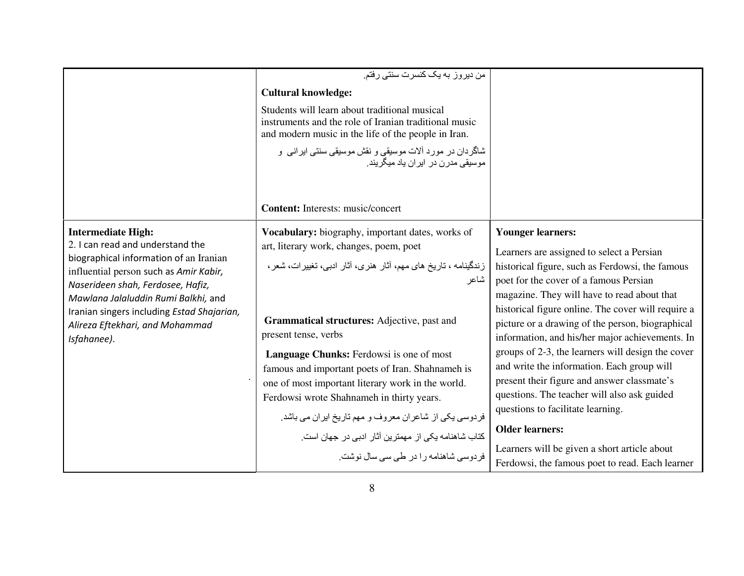|                                                                                                                                                                                                                                                                                                                               | من دیروز به یک کنسرت سنتی رفتم.                                                                                                                                                                                                                                                                                                                                                                                                                                                                                                                                                                       |                                                                                                                                                                                                                                                                                                                                                                                                                                                                                                                                                                                                                                                                                                                                                   |
|-------------------------------------------------------------------------------------------------------------------------------------------------------------------------------------------------------------------------------------------------------------------------------------------------------------------------------|-------------------------------------------------------------------------------------------------------------------------------------------------------------------------------------------------------------------------------------------------------------------------------------------------------------------------------------------------------------------------------------------------------------------------------------------------------------------------------------------------------------------------------------------------------------------------------------------------------|---------------------------------------------------------------------------------------------------------------------------------------------------------------------------------------------------------------------------------------------------------------------------------------------------------------------------------------------------------------------------------------------------------------------------------------------------------------------------------------------------------------------------------------------------------------------------------------------------------------------------------------------------------------------------------------------------------------------------------------------------|
|                                                                                                                                                                                                                                                                                                                               | <b>Cultural knowledge:</b>                                                                                                                                                                                                                                                                                                                                                                                                                                                                                                                                                                            |                                                                                                                                                                                                                                                                                                                                                                                                                                                                                                                                                                                                                                                                                                                                                   |
|                                                                                                                                                                                                                                                                                                                               | Students will learn about traditional musical<br>instruments and the role of Iranian traditional music<br>and modern music in the life of the people in Iran.                                                                                                                                                                                                                                                                                                                                                                                                                                         |                                                                                                                                                                                                                                                                                                                                                                                                                                                                                                                                                                                                                                                                                                                                                   |
|                                                                                                                                                                                                                                                                                                                               | شاگردان در مورد آلات موسیقی و نقش موسیقی سنتی ایرانی و<br>مو سیقے مدر ن در   ابر ان یاد میگر بند ِ                                                                                                                                                                                                                                                                                                                                                                                                                                                                                                    |                                                                                                                                                                                                                                                                                                                                                                                                                                                                                                                                                                                                                                                                                                                                                   |
|                                                                                                                                                                                                                                                                                                                               | <b>Content:</b> Interests: music/concert                                                                                                                                                                                                                                                                                                                                                                                                                                                                                                                                                              |                                                                                                                                                                                                                                                                                                                                                                                                                                                                                                                                                                                                                                                                                                                                                   |
| <b>Intermediate High:</b><br>2. I can read and understand the<br>biographical information of an Iranian<br>influential person such as Amir Kabir,<br>Naserideen shah, Ferdosee, Hafiz,<br>Mawlana Jalaluddin Rumi Balkhi, and<br>Iranian singers including Estad Shajarian,<br>Alireza Eftekhari, and Mohammad<br>Isfahanee). | Vocabulary: biography, important dates, works of<br>art, literary work, changes, poem, poet<br>زندگینامه ، تاریخ های مهم، آثار هنری، آثار ادبی، تغییرات، شعر،<br>شاعر<br>Grammatical structures: Adjective, past and<br>present tense, verbs<br>Language Chunks: Ferdowsi is one of most<br>famous and important poets of Iran. Shahnameh is<br>one of most important literary work in the world.<br>Ferdowsi wrote Shahnameh in thirty years.<br>فردوسی یکی از شاعران معروف و مهم تاریخ ایران می باشد.<br>کتاب شاهنامه یکی از مهمترین آثار ادبی در جهان است.<br>فردوسی شاهنامه را در طی سی سال نوشت. | <b>Younger learners:</b><br>Learners are assigned to select a Persian<br>historical figure, such as Ferdowsi, the famous<br>poet for the cover of a famous Persian<br>magazine. They will have to read about that<br>historical figure online. The cover will require a<br>picture or a drawing of the person, biographical<br>information, and his/her major achievements. In<br>groups of 2-3, the learners will design the cover<br>and write the information. Each group will<br>present their figure and answer classmate's<br>questions. The teacher will also ask guided<br>questions to facilitate learning.<br><b>Older learners:</b><br>Learners will be given a short article about<br>Ferdowsi, the famous poet to read. Each learner |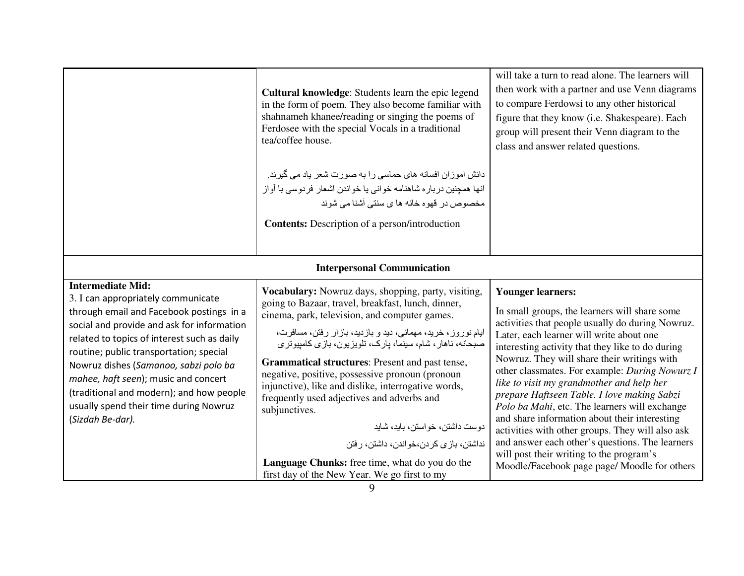|                                                                                                                                                                                                                                                                                                                                                                                                                                               | Cultural knowledge: Students learn the epic legend<br>in the form of poem. They also become familiar with<br>shahnameh khanee/reading or singing the poems of<br>Ferdosee with the special Vocals in a traditional<br>tea/coffee house.<br>دانش اموزان افسانه های حماسی را به صورت شعر یاد می گیرند.<br>انها همچنین درباره شاهنامه خوانی یا خواندن اشعار فردوسی با أواز<br>مخصوص در قهوه خانه ها ی سنتی آشنا می شوند<br><b>Contents:</b> Description of a person/introduction                                                                                                                                                                                                                    | will take a turn to read alone. The learners will<br>then work with a partner and use Venn diagrams<br>to compare Ferdowsi to any other historical<br>figure that they know (i.e. Shakespeare). Each<br>group will present their Venn diagram to the<br>class and answer related questions.                                                                                                                                                                                                                                                                                                                                                                                                                                     |  |
|-----------------------------------------------------------------------------------------------------------------------------------------------------------------------------------------------------------------------------------------------------------------------------------------------------------------------------------------------------------------------------------------------------------------------------------------------|--------------------------------------------------------------------------------------------------------------------------------------------------------------------------------------------------------------------------------------------------------------------------------------------------------------------------------------------------------------------------------------------------------------------------------------------------------------------------------------------------------------------------------------------------------------------------------------------------------------------------------------------------------------------------------------------------|---------------------------------------------------------------------------------------------------------------------------------------------------------------------------------------------------------------------------------------------------------------------------------------------------------------------------------------------------------------------------------------------------------------------------------------------------------------------------------------------------------------------------------------------------------------------------------------------------------------------------------------------------------------------------------------------------------------------------------|--|
| <b>Interpersonal Communication</b>                                                                                                                                                                                                                                                                                                                                                                                                            |                                                                                                                                                                                                                                                                                                                                                                                                                                                                                                                                                                                                                                                                                                  |                                                                                                                                                                                                                                                                                                                                                                                                                                                                                                                                                                                                                                                                                                                                 |  |
| <b>Intermediate Mid:</b><br>3. I can appropriately communicate<br>through email and Facebook postings in a<br>social and provide and ask for information<br>related to topics of interest such as daily<br>routine; public transportation; special<br>Nowruz dishes (Samanoo, sabzi polo ba<br>mahee, haft seen); music and concert<br>(traditional and modern); and how people<br>usually spend their time during Nowruz<br>(Sizdah Be-dar). | Vocabulary: Nowruz days, shopping, party, visiting,<br>going to Bazaar, travel, breakfast, lunch, dinner,<br>cinema, park, television, and computer games.<br>ایام نوروز، خرید، مهمانی، دید و بازدید، بازار رفتن، مسافرت،<br>صبحانه، ناهار ، شام، سینما، بارک، تلویزیون، بازی کامپیوتری<br>Grammatical structures: Present and past tense,<br>negative, positive, possessive pronoun (pronoun<br>injunctive), like and dislike, interrogative words,<br>frequently used adjectives and adverbs and<br>subjunctives.<br>دوست داشتن، خواستن، باید، شاید<br>نداشتن، بازی کردن،خواندن، داشتن، رفتن<br>Language Chunks: free time, what do you do the<br>first day of the New Year. We go first to my | <b>Younger learners:</b><br>In small groups, the learners will share some<br>activities that people usually do during Nowruz.<br>Later, each learner will write about one<br>interesting activity that they like to do during<br>Nowruz. They will share their writings with<br>other classmates. For example: During Nowurz I<br>like to visit my grandmother and help her<br>prepare Haftseen Table. I love making Sabzi<br>Polo ba Mahi, etc. The learners will exchange<br>and share information about their interesting<br>activities with other groups. They will also ask<br>and answer each other's questions. The learners<br>will post their writing to the program's<br>Moodle/Facebook page page/ Moodle for others |  |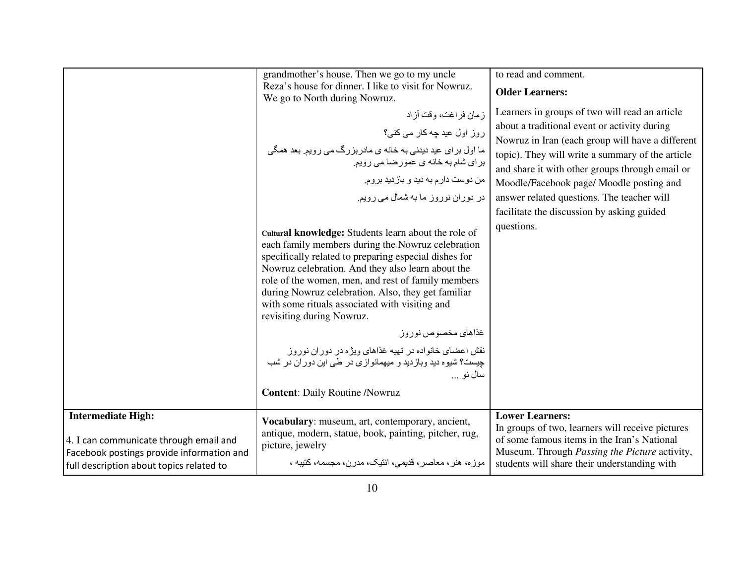|                                                                                                                                                              | grandmother's house. Then we go to my uncle<br>Reza's house for dinner. I like to visit for Nowruz.<br>We go to North during Nowruz.<br>زمان فراغت، وقت أزاد<br>روز اول عید چه کار می کنی؟<br>ما اول بر ای عید دیدنی به خانه ی مادر بزرگ می رویم. بعد همگی<br>برای شام به خانه ی عمورضا می رویم.<br>من دوست دارم به دید و بازدید بروم.<br>در دوران نوروز ما به شمال می رویم.<br>Cultural knowledge: Students learn about the role of<br>each family members during the Nowruz celebration<br>specifically related to preparing especial dishes for<br>Nowruz celebration. And they also learn about the<br>role of the women, men, and rest of family members<br>during Nowruz celebration. Also, they get familiar<br>with some rituals associated with visiting and<br>revisiting during Nowruz.<br>غذاهاي مخصوص نوروز<br>نقش اعضای خانواده در تهیه غذاهای ویژه در دوران نوروز<br>چیست؟ شیوه دید وبازدید و میهمانوازی در طی این دوران در شب<br>سال نو …<br><b>Content: Daily Routine /Nowruz</b> | to read and comment.<br><b>Older Learners:</b><br>Learners in groups of two will read an article<br>about a traditional event or activity during<br>Nowruz in Iran (each group will have a different<br>topic). They will write a summary of the article<br>and share it with other groups through email or<br>Moodle/Facebook page/ Moodle posting and<br>answer related questions. The teacher will<br>facilitate the discussion by asking guided<br>questions. |
|--------------------------------------------------------------------------------------------------------------------------------------------------------------|----------------------------------------------------------------------------------------------------------------------------------------------------------------------------------------------------------------------------------------------------------------------------------------------------------------------------------------------------------------------------------------------------------------------------------------------------------------------------------------------------------------------------------------------------------------------------------------------------------------------------------------------------------------------------------------------------------------------------------------------------------------------------------------------------------------------------------------------------------------------------------------------------------------------------------------------------------------------------------------------------|-------------------------------------------------------------------------------------------------------------------------------------------------------------------------------------------------------------------------------------------------------------------------------------------------------------------------------------------------------------------------------------------------------------------------------------------------------------------|
|                                                                                                                                                              |                                                                                                                                                                                                                                                                                                                                                                                                                                                                                                                                                                                                                                                                                                                                                                                                                                                                                                                                                                                                    |                                                                                                                                                                                                                                                                                                                                                                                                                                                                   |
| <b>Intermediate High:</b><br>4. I can communicate through email and<br>Facebook postings provide information and<br>full description about topics related to | Vocabulary: museum, art, contemporary, ancient,<br>antique, modern, statue, book, painting, pitcher, rug,<br>picture, jewelry<br>موزه، هنر، معاصر ، قدیمی، انتیک، مدرن، مجسمه، کتیبه ،                                                                                                                                                                                                                                                                                                                                                                                                                                                                                                                                                                                                                                                                                                                                                                                                             | <b>Lower Learners:</b><br>In groups of two, learners will receive pictures<br>of some famous items in the Iran's National<br>Museum. Through Passing the Picture activity,<br>students will share their understanding with                                                                                                                                                                                                                                        |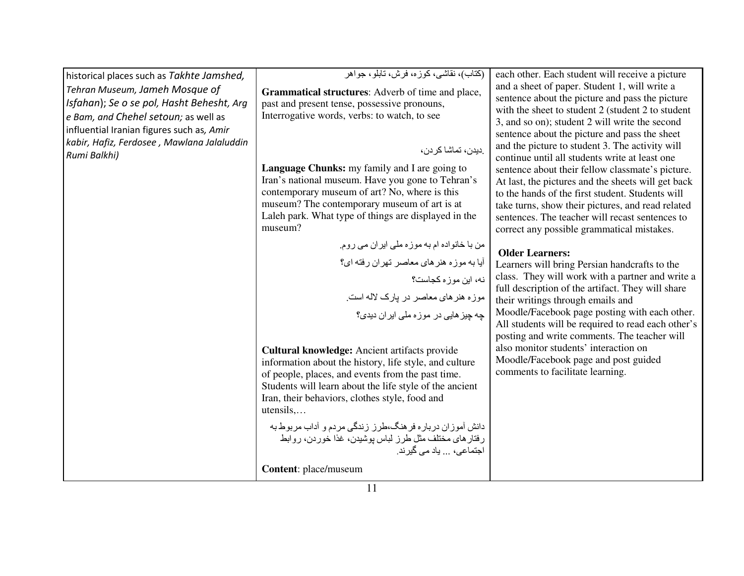| historical places such as Takhte Jamshed,  | (كتاب)، نقاشي، كوزه، فرش، تابلو، جواهر                                                                       | each other. Each student will receive a picture                                                       |
|--------------------------------------------|--------------------------------------------------------------------------------------------------------------|-------------------------------------------------------------------------------------------------------|
| Tehran Museum, Jameh Mosque of             | Grammatical structures: Adverb of time and place,                                                            | and a sheet of paper. Student 1, will write a                                                         |
| Isfahan); Se o se pol, Hasht Behesht, Arg  | past and present tense, possessive pronouns,                                                                 | sentence about the picture and pass the picture<br>with the sheet to student 2 (student 2 to student  |
| e Bam, and Chehel setoun; as well as       | Interrogative words, verbs: to watch, to see                                                                 | 3, and so on); student 2 will write the second                                                        |
| influential Iranian figures such as, Amir  |                                                                                                              | sentence about the picture and pass the sheet                                                         |
| kabir, Hafiz, Ferdosee, Mawlana Jalaluddin | ديدن، تماشا كر دن،                                                                                           | and the picture to student 3. The activity will                                                       |
| Rumi Balkhi)                               |                                                                                                              | continue until all students write at least one                                                        |
|                                            | Language Chunks: my family and I are going to                                                                | sentence about their fellow classmate's picture.                                                      |
|                                            | Iran's national museum. Have you gone to Tehran's                                                            | At last, the pictures and the sheets will get back                                                    |
|                                            | contemporary museum of art? No, where is this<br>museum? The contemporary museum of art is at                | to the hands of the first student. Students will                                                      |
|                                            | Laleh park. What type of things are displayed in the                                                         | take turns, show their pictures, and read related<br>sentences. The teacher will recast sentences to  |
|                                            | museum?                                                                                                      | correct any possible grammatical mistakes.                                                            |
|                                            | من با خانواده ام به موزه ملی ایران می روم.                                                                   |                                                                                                       |
|                                            |                                                                                                              | <b>Older Learners:</b>                                                                                |
|                                            | أيا به موزه هنر هاي معاصر تهران رفته اي؟                                                                     | Learners will bring Persian handcrafts to the                                                         |
|                                            | نه، این موزه کجاست؟                                                                                          | class. They will work with a partner and write a<br>full description of the artifact. They will share |
|                                            | موزه هنر های معاصر در پارک لاله است.                                                                         | their writings through emails and                                                                     |
|                                            | چه چیز هایی در موزه ملی ایران دیدی؟                                                                          | Moodle/Facebook page posting with each other.                                                         |
|                                            |                                                                                                              | All students will be required to read each other's                                                    |
|                                            |                                                                                                              | posting and write comments. The teacher will                                                          |
|                                            | Cultural knowledge: Ancient artifacts provide                                                                | also monitor students' interaction on<br>Moodle/Facebook page and post guided                         |
|                                            | information about the history, life style, and culture                                                       | comments to facilitate learning.                                                                      |
|                                            | of people, places, and events from the past time.<br>Students will learn about the life style of the ancient |                                                                                                       |
|                                            | Iran, their behaviors, clothes style, food and                                                               |                                                                                                       |
|                                            | utensils                                                                                                     |                                                                                                       |
|                                            | دانش آموزان درباره فرهنگ،طرز زندگی مردم و أداب مربوط به                                                      |                                                                                                       |
|                                            | رفتار های مختلف مثل طرز لباس پوشیدن، غذا خوردن، روابط                                                        |                                                                                                       |
|                                            | اجنما <i>عی</i> ،  یاد <i>می</i> گیر ند.                                                                     |                                                                                                       |
|                                            | <b>Content:</b> place/museum                                                                                 |                                                                                                       |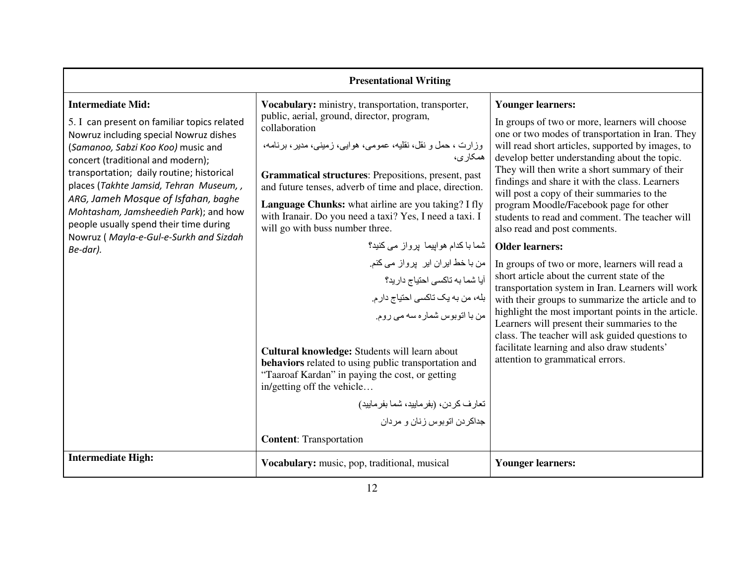| <b>Presentational Writing</b>                                                                                                                                                                                                                                                                                                                                                                                                                           |                                                                                                                                                                                                                                                                                                                                                                                                                                                                                                               |                                                                                                                                                                                                                                                                                                                                                                                                                                                                                                                                             |  |
|---------------------------------------------------------------------------------------------------------------------------------------------------------------------------------------------------------------------------------------------------------------------------------------------------------------------------------------------------------------------------------------------------------------------------------------------------------|---------------------------------------------------------------------------------------------------------------------------------------------------------------------------------------------------------------------------------------------------------------------------------------------------------------------------------------------------------------------------------------------------------------------------------------------------------------------------------------------------------------|---------------------------------------------------------------------------------------------------------------------------------------------------------------------------------------------------------------------------------------------------------------------------------------------------------------------------------------------------------------------------------------------------------------------------------------------------------------------------------------------------------------------------------------------|--|
| <b>Intermediate Mid:</b><br>5. I can present on familiar topics related<br>Nowruz including special Nowruz dishes<br>(Samanoo, Sabzi Koo Koo) music and<br>concert (traditional and modern);<br>transportation; daily routine; historical<br>places (Takhte Jamsid, Tehran Museum,,<br>ARG, Jameh Mosque of Isfahan, baghe<br>Mohtasham, Jamsheedieh Park); and how<br>people usually spend their time during<br>Nowruz (Mayla-e-Gul-e-Surkh and Sizdah | Vocabulary: ministry, transportation, transporter,<br>public, aerial, ground, director, program,<br>collaboration<br>وز ارت ، حمل و نقل، نقلیه، عمومی، هوایی، زمینی، مدیر ، برنامه،<br>همکار ی،<br>Grammatical structures: Prepositions, present, past<br>and future tenses, adverb of time and place, direction.<br>Language Chunks: what airline are you taking? I fly<br>with Iranair. Do you need a taxi? Yes, I need a taxi. I<br>will go with buss number three.<br>شما با کدام ہواپیما  پرواز می کنید؟ | <b>Younger learners:</b><br>In groups of two or more, learners will choose<br>one or two modes of transportation in Iran. They<br>will read short articles, supported by images, to<br>develop better understanding about the topic.<br>They will then write a short summary of their<br>findings and share it with the class. Learners<br>will post a copy of their summaries to the<br>program Moodle/Facebook page for other<br>students to read and comment. The teacher will<br>also read and post comments.<br><b>Older learners:</b> |  |
| Be-dar).                                                                                                                                                                                                                                                                                                                                                                                                                                                | من با خط ایر ان ایر پرواز می کنم.<br>آیا شما به تاکسی احتیاج دارید؟<br>بله، من به یک تاکسی احتیاج دارم.<br>من با اتوبوس شماره سه می روم.<br>Cultural knowledge: Students will learn about<br>behaviors related to using public transportation and<br>"Taaroaf Kardan" in paying the cost, or getting<br>in/getting off the vehicle<br>تعارف كردن، (بفرماييد، شما بفرماييد)<br>جداكردن اتوبوس زنان و مردان<br><b>Content:</b> Transportation                                                                   | In groups of two or more, learners will read a<br>short article about the current state of the<br>transportation system in Iran. Learners will work<br>with their groups to summarize the article and to<br>highlight the most important points in the article.<br>Learners will present their summaries to the<br>class. The teacher will ask guided questions to<br>facilitate learning and also draw students'<br>attention to grammatical errors.                                                                                       |  |
| <b>Intermediate High:</b>                                                                                                                                                                                                                                                                                                                                                                                                                               | Vocabulary: music, pop, traditional, musical                                                                                                                                                                                                                                                                                                                                                                                                                                                                  | <b>Younger learners:</b>                                                                                                                                                                                                                                                                                                                                                                                                                                                                                                                    |  |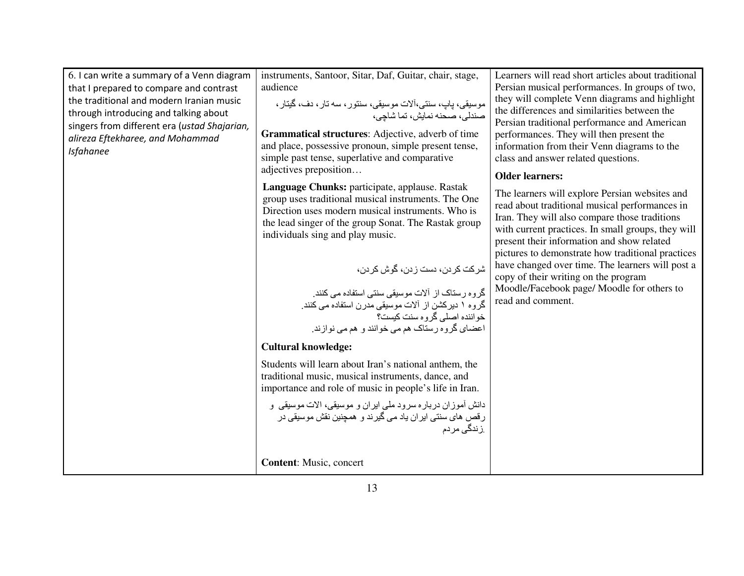| 6. I can write a summary of a Venn diagram<br>that I prepared to compare and contrast<br>the traditional and modern Iranian music<br>through introducing and talking about<br>singers from different era (ustad Shajarian,<br>alireza Eftekharee, and Mohammad<br><b>Isfahanee</b> | instruments, Santoor, Sitar, Daf, Guitar, chair, stage,<br>audience<br>موسیقی، پاپ، سنتی،آلات موسیقی، سنتور، سه تار، دف، گیتار،<br>صندلی، صحنه نمایش، تما شاچی،<br>Grammatical structures: Adjective, adverb of time<br>and place, possessive pronoun, simple present tense,<br>simple past tense, superlative and comparative<br>adjectives preposition<br>Language Chunks: participate, applause. Rastak<br>group uses traditional musical instruments. The One<br>Direction uses modern musical instruments. Who is<br>the lead singer of the group Sonat. The Rastak group<br>individuals sing and play music.<br>شركت كردن، دست زدن، گوش كردن،<br>گروه رستاک از آلات موسیقی سنتی استفاده می کنند.<br>گروه ۱ دیرکشن از آلات موسیقی مدرن استفاده می کنند.<br>خواننده اصلي گر و ه سنت کيست؟<br>اعضای گروه رستاک هم می خوانند و هم می نوازند.<br><b>Cultural knowledge:</b><br>Students will learn about Iran's national anthem, the<br>traditional music, musical instruments, dance, and<br>importance and role of music in people's life in Iran.<br>دانش أموزان درباره سرود ملي ابران و موسیقی، الات موسیقی و<br>رقص های سنتی ایران یاد می گیرند و همچنین نقش موسیقی در<br><u>ز</u> ندگ <i>ی</i> مردم | Learners will read short articles about traditional<br>Persian musical performances. In groups of two,<br>they will complete Venn diagrams and highlight<br>the differences and similarities between the<br>Persian traditional performance and American<br>performances. They will then present the<br>information from their Venn diagrams to the<br>class and answer related questions.<br><b>Older learners:</b><br>The learners will explore Persian websites and<br>read about traditional musical performances in<br>Iran. They will also compare those traditions<br>with current practices. In small groups, they will<br>present their information and show related<br>pictures to demonstrate how traditional practices<br>have changed over time. The learners will post a<br>copy of their writing on the program<br>Moodle/Facebook page/ Moodle for others to<br>read and comment. |
|------------------------------------------------------------------------------------------------------------------------------------------------------------------------------------------------------------------------------------------------------------------------------------|------------------------------------------------------------------------------------------------------------------------------------------------------------------------------------------------------------------------------------------------------------------------------------------------------------------------------------------------------------------------------------------------------------------------------------------------------------------------------------------------------------------------------------------------------------------------------------------------------------------------------------------------------------------------------------------------------------------------------------------------------------------------------------------------------------------------------------------------------------------------------------------------------------------------------------------------------------------------------------------------------------------------------------------------------------------------------------------------------------------------------------------------------------------------------------------------------------|---------------------------------------------------------------------------------------------------------------------------------------------------------------------------------------------------------------------------------------------------------------------------------------------------------------------------------------------------------------------------------------------------------------------------------------------------------------------------------------------------------------------------------------------------------------------------------------------------------------------------------------------------------------------------------------------------------------------------------------------------------------------------------------------------------------------------------------------------------------------------------------------------|
|                                                                                                                                                                                                                                                                                    | <b>Content:</b> Music, concert                                                                                                                                                                                                                                                                                                                                                                                                                                                                                                                                                                                                                                                                                                                                                                                                                                                                                                                                                                                                                                                                                                                                                                             |                                                                                                                                                                                                                                                                                                                                                                                                                                                                                                                                                                                                                                                                                                                                                                                                                                                                                                   |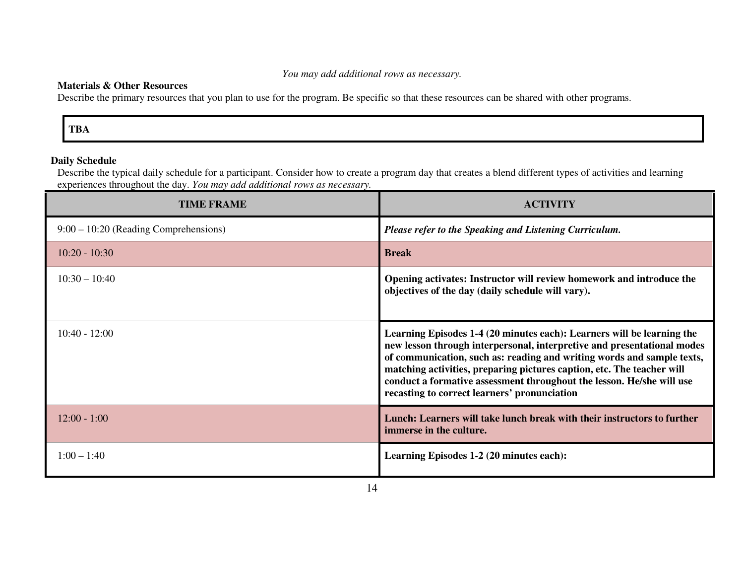## *You may add additional rows as necessary.*

# **Materials & Other Resources**

Describe the primary resources that you plan to use for the program. Be specific so that these resources can be shared with other programs.

| <b>TD</b>                |  |
|--------------------------|--|
| $\overline{\phantom{a}}$ |  |
| 1 DA                     |  |
|                          |  |
|                          |  |

# **Daily Schedule**

 Describe the typical daily schedule for a participant. Consider how to create a program day that creates a blend different types of activities and learning experiences throughout the day. *You may add additional rows as necessary.* 

| <b>TIME FRAME</b>                       | ACTIVITY                                                                                                                                                                                                                                                                                                                                                                                                                       |
|-----------------------------------------|--------------------------------------------------------------------------------------------------------------------------------------------------------------------------------------------------------------------------------------------------------------------------------------------------------------------------------------------------------------------------------------------------------------------------------|
| $9:00 - 10:20$ (Reading Comprehensions) | Please refer to the Speaking and Listening Curriculum.                                                                                                                                                                                                                                                                                                                                                                         |
| $10:20 - 10:30$                         | <b>Break</b>                                                                                                                                                                                                                                                                                                                                                                                                                   |
| $10:30 - 10:40$                         | Opening activates: Instructor will review homework and introduce the<br>objectives of the day (daily schedule will vary).                                                                                                                                                                                                                                                                                                      |
| $10:40 - 12:00$                         | Learning Episodes 1-4 (20 minutes each): Learners will be learning the<br>new lesson through interpersonal, interpretive and presentational modes<br>of communication, such as: reading and writing words and sample texts,<br>matching activities, preparing pictures caption, etc. The teacher will<br>conduct a formative assessment throughout the lesson. He/she will use<br>recasting to correct learners' pronunciation |
| $12:00 - 1:00$                          | Lunch: Learners will take lunch break with their instructors to further<br>immerse in the culture.                                                                                                                                                                                                                                                                                                                             |
| $1:00 - 1:40$                           | Learning Episodes 1-2 (20 minutes each):                                                                                                                                                                                                                                                                                                                                                                                       |